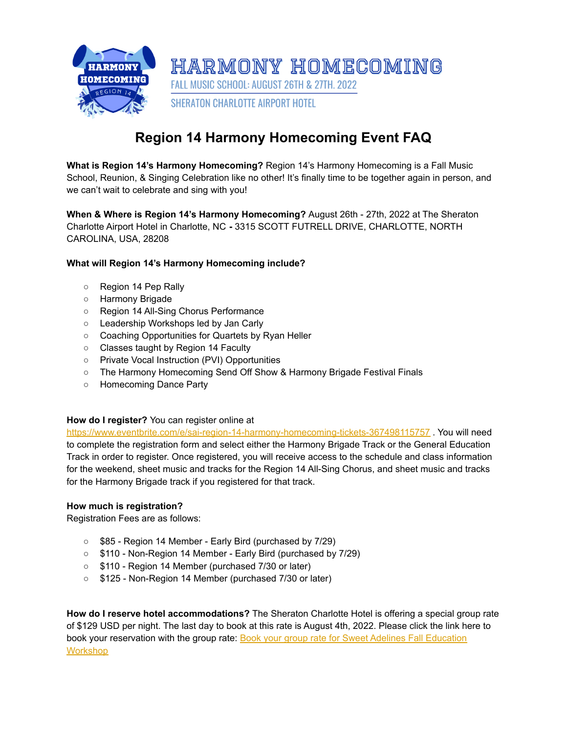

# **Region 14 Harmony Homecoming Event FAQ**

**What is Region 14's Harmony Homecoming?** Region 14's Harmony Homecoming is a Fall Music School, Reunion, & Singing Celebration like no other! It's finally time to be together again in person, and we can't wait to celebrate and sing with you!

**When & Where is Region 14's Harmony Homecoming?** August 26th - 27th, 2022 at The Sheraton Charlotte Airport Hotel in Charlotte, NC **-** 3315 SCOTT FUTRELL DRIVE, CHARLOTTE, NORTH CAROLINA, USA, 28208

## **What will Region 14's Harmony Homecoming include?**

- Region 14 Pep Rally
- Harmony Brigade
- Region 14 All-Sing Chorus Performance
- Leadership Workshops led by Jan Carly
- Coaching Opportunities for Quartets by Ryan Heller
- Classes taught by Region 14 Faculty
- Private Vocal Instruction (PVI) Opportunities
- The Harmony Homecoming Send Off Show & Harmony Brigade Festival Finals
- Homecoming Dance Party

## **How do I register?** You can register online a[t](https://www.eventbrite.com/e/sai-region-14-harmony-homecoming-tickets-367498115757)

<https://www.eventbrite.com/e/sai-region-14-harmony-homecoming-tickets-367498115757> . You will need to complete the registration form and select either the Harmony Brigade Track or the General Education Track in order to register. Once registered, you will receive access to the schedule and class information for the weekend, sheet music and tracks for the Region 14 All-Sing Chorus, and sheet music and tracks for the Harmony Brigade track if you registered for that track.

## **How much is registration?**

Registration Fees are as follows:

- \$85 Region 14 Member Early Bird (purchased by 7/29)
- \$110 Non-Region 14 Member Early Bird (purchased by 7/29)
- \$110 Region 14 Member (purchased 7/30 or later)
- \$125 Non-Region 14 Member (purchased 7/30 or later)

**How do I reserve hotel accommodations?** The Sheraton Charlotte Hotel is offering a special group rate of \$129 USD per night. The last day to book at this rate is August 4th, 2022. Please click the link here to book your reservation with the group rate: Book your group rate for Sweet Adelines Fall [Education](https://www.marriott.com/events/start.mi?id=1655296183167&key=GRP) **[Workshop](https://www.marriott.com/events/start.mi?id=1655296183167&key=GRP)**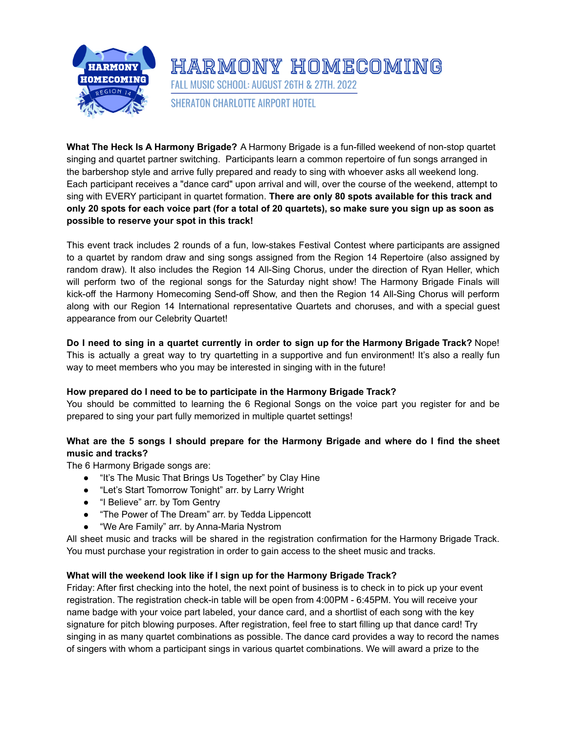

# **What The Heck Is A Harmony Brigade?** A Harmony Brigade is a fun-filled weekend of non-stop quartet singing and quartet partner switching. Participants learn a common repertoire of fun songs arranged in the barbershop style and arrive fully prepared and ready to sing with whoever asks all weekend long. Each participant receives a "dance card" upon arrival and will, over the course of the weekend, attempt to sing with EVERY participant in quartet formation. **There are only 80 spots available for this track and** only 20 spots for each voice part (for a total of 20 quartets), so make sure you sign up as soon as **possible to reserve your spot in this track!**

FALL MUSIC SCHOOL: AUGUST 26TH & 27TH, 2022

**SHERATON CHARLOTTE AIRPORT HOTEL** 

HARMONY HOMECOMING

This event track includes 2 rounds of a fun, low-stakes Festival Contest where participants are assigned to a quartet by random draw and sing songs assigned from the Region 14 Repertoire (also assigned by random draw). It also includes the Region 14 All-Sing Chorus, under the direction of Ryan Heller, which will perform two of the regional songs for the Saturday night show! The Harmony Brigade Finals will kick-off the Harmony Homecoming Send-off Show, and then the Region 14 All-Sing Chorus will perform along with our Region 14 International representative Quartets and choruses, and with a special guest appearance from our Celebrity Quartet!

# Do I need to sing in a quartet currently in order to sign up for the Harmony Brigade Track? Nope! This is actually a great way to try quartetting in a supportive and fun environment! It's also a really fun way to meet members who you may be interested in singing with in the future!

# **How prepared do I need to be to participate in the Harmony Brigade Track?**

You should be committed to learning the 6 Regional Songs on the voice part you register for and be prepared to sing your part fully memorized in multiple quartet settings!

# **What are the 5 songs I should prepare for the Harmony Brigade and where do I find the sheet music and tracks?**

The 6 Harmony Brigade songs are:

- "It's The Music That Brings Us Together" by Clay Hine
- "Let's Start Tomorrow Tonight" arr. by Larry Wright
- "I Believe" arr. by Tom Gentry
- "The Power of The Dream" arr. by Tedda Lippencott
- "We Are Family" arr. by Anna-Maria Nystrom

All sheet music and tracks will be shared in the registration confirmation for the Harmony Brigade Track. You must purchase your registration in order to gain access to the sheet music and tracks.

## **What will the weekend look like if I sign up for the Harmony Brigade Track?**

Friday: After first checking into the hotel, the next point of business is to check in to pick up your event registration. The registration check-in table will be open from 4:00PM - 6:45PM. You will receive your name badge with your voice part labeled, your dance card, and a shortlist of each song with the key signature for pitch blowing purposes. After registration, feel free to start filling up that dance card! Try singing in as many quartet combinations as possible. The dance card provides a way to record the names of singers with whom a participant sings in various quartet combinations. We will award a prize to the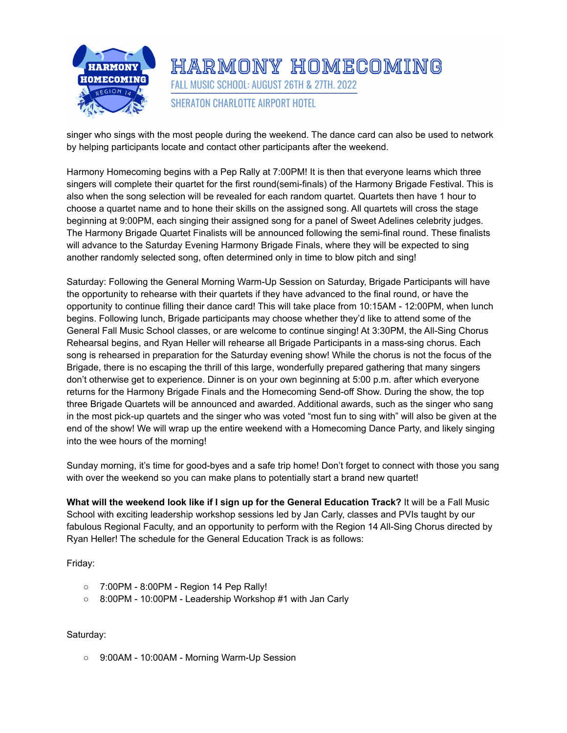

HARMONY HOMECOMING FALL MUSIC SCHOOL: AUGUST 26TH & 27TH. 2022 **SHERATON CHARLOTTE AIRPORT HOTEL** 

singer who sings with the most people during the weekend. The dance card can also be used to network by helping participants locate and contact other participants after the weekend.

Harmony Homecoming begins with a Pep Rally at 7:00PM! It is then that everyone learns which three singers will complete their quartet for the first round(semi-finals) of the Harmony Brigade Festival. This is also when the song selection will be revealed for each random quartet. Quartets then have 1 hour to choose a quartet name and to hone their skills on the assigned song. All quartets will cross the stage beginning at 9:00PM, each singing their assigned song for a panel of Sweet Adelines celebrity judges. The Harmony Brigade Quartet Finalists will be announced following the semi-final round. These finalists will advance to the Saturday Evening Harmony Brigade Finals, where they will be expected to sing another randomly selected song, often determined only in time to blow pitch and sing!

Saturday: Following the General Morning Warm-Up Session on Saturday, Brigade Participants will have the opportunity to rehearse with their quartets if they have advanced to the final round, or have the opportunity to continue filling their dance card! This will take place from 10:15AM - 12:00PM, when lunch begins. Following lunch, Brigade participants may choose whether they'd like to attend some of the General Fall Music School classes, or are welcome to continue singing! At 3:30PM, the All-Sing Chorus Rehearsal begins, and Ryan Heller will rehearse all Brigade Participants in a mass-sing chorus. Each song is rehearsed in preparation for the Saturday evening show! While the chorus is not the focus of the Brigade, there is no escaping the thrill of this large, wonderfully prepared gathering that many singers don't otherwise get to experience. Dinner is on your own beginning at 5:00 p.m. after which everyone returns for the Harmony Brigade Finals and the Homecoming Send-off Show. During the show, the top three Brigade Quartets will be announced and awarded. Additional awards, such as the singer who sang in the most pick-up quartets and the singer who was voted "most fun to sing with" will also be given at the end of the show! We will wrap up the entire weekend with a Homecoming Dance Party, and likely singing into the wee hours of the morning!

Sunday morning, it's time for good-byes and a safe trip home! Don't forget to connect with those you sang with over the weekend so you can make plans to potentially start a brand new quartet!

**What will the weekend look like if I sign up for the General Education Track?** It will be a Fall Music School with exciting leadership workshop sessions led by Jan Carly, classes and PVIs taught by our fabulous Regional Faculty, and an opportunity to perform with the Region 14 All-Sing Chorus directed by Ryan Heller! The schedule for the General Education Track is as follows:

Friday:

- 7:00PM 8:00PM Region 14 Pep Rally!
- 8:00PM 10:00PM Leadership Workshop #1 with Jan Carly

## Saturday:

○ 9:00AM - 10:00AM - Morning Warm-Up Session